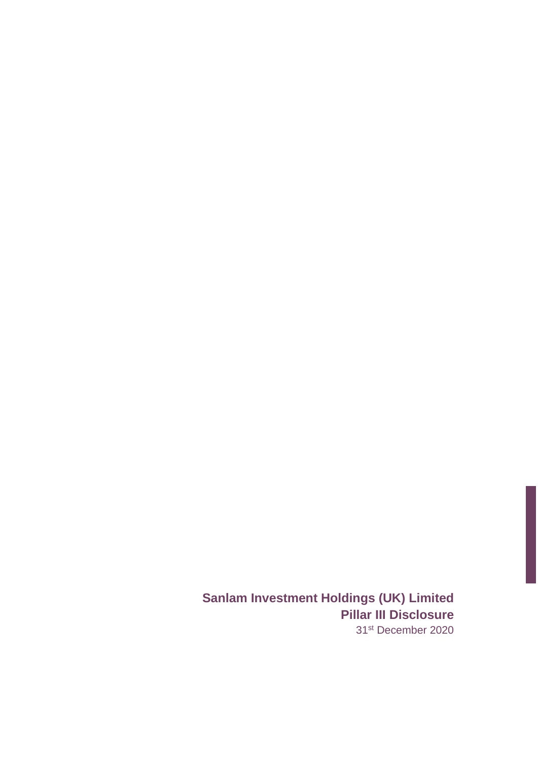**Sanlam Investment Holdings (UK) Limited Pillar III Disclosure** 31st December 2020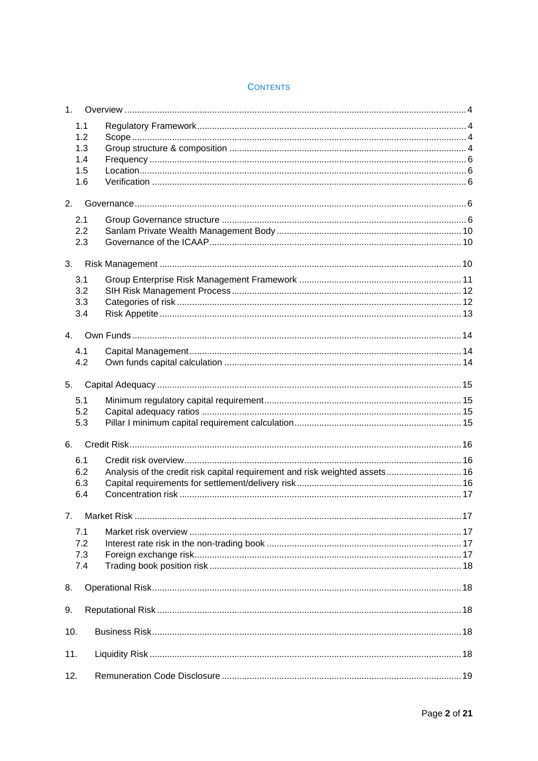| 1.                |                                                                             |  |
|-------------------|-----------------------------------------------------------------------------|--|
| 1.1<br>1.2<br>1.3 |                                                                             |  |
| 1.4               |                                                                             |  |
| 1.5               |                                                                             |  |
| 1.6               |                                                                             |  |
| 2.                |                                                                             |  |
| 2.1               |                                                                             |  |
| 2.2               |                                                                             |  |
| 2.3               |                                                                             |  |
| 3.                |                                                                             |  |
| 3.1               |                                                                             |  |
| 3.2               |                                                                             |  |
| 3.3               |                                                                             |  |
| 3.4               |                                                                             |  |
| 4.                |                                                                             |  |
| 4.1               |                                                                             |  |
| 4.2               |                                                                             |  |
| 5.                |                                                                             |  |
| 5.1               |                                                                             |  |
| 5.2               |                                                                             |  |
| 5.3               |                                                                             |  |
| 6.                |                                                                             |  |
|                   |                                                                             |  |
| 6.1<br>6.2        | Analysis of the credit risk capital requirement and risk weighted assets 16 |  |
| 6.3               |                                                                             |  |
| 6.4               |                                                                             |  |
|                   |                                                                             |  |
| 7 <sub>1</sub>    |                                                                             |  |
| 7.1               |                                                                             |  |
| 7.2               |                                                                             |  |
| 7.3<br>7.4        |                                                                             |  |
|                   |                                                                             |  |
| 8.                |                                                                             |  |
| 9.                |                                                                             |  |
| 10.               |                                                                             |  |
|                   |                                                                             |  |
| 11.               |                                                                             |  |
| 12.               |                                                                             |  |

### **CONTENTS**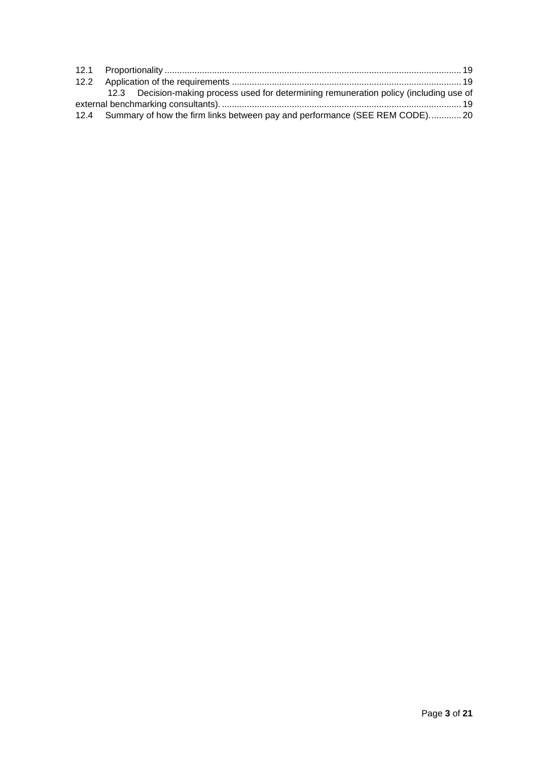|  | 12.3 Decision-making process used for determining remuneration policy (including use of |  |
|--|-----------------------------------------------------------------------------------------|--|
|  |                                                                                         |  |
|  | 12.4 Summary of how the firm links between pay and performance (SEE REM CODE) 20        |  |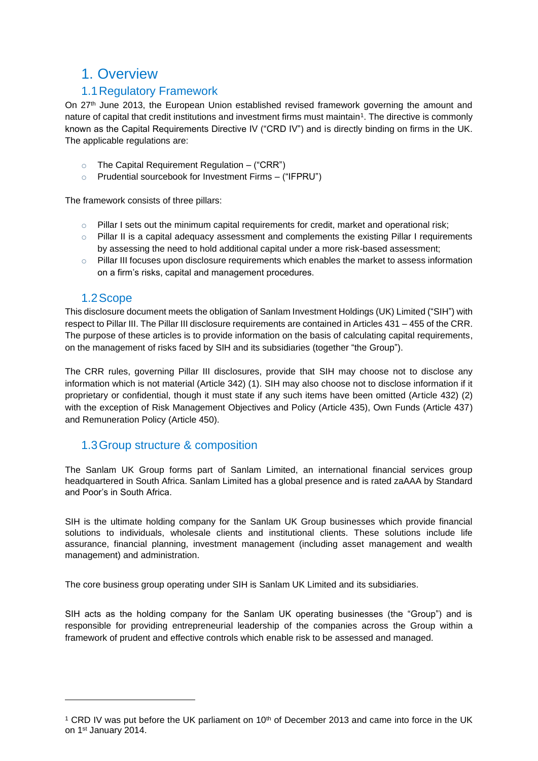## <span id="page-3-0"></span>1. Overview

## 1.1Regulatory Framework

<span id="page-3-1"></span>On 27<sup>th</sup> June 2013, the European Union established revised framework governing the amount and nature of capital that credit institutions and investment firms must maintain<sup>1</sup>. The directive is commonly known as the Capital Requirements Directive IV ("CRD IV") and is directly binding on firms in the UK. The applicable regulations are:

- $\circ$  The Capital Requirement Requiation ("CRR")
- o Prudential sourcebook for Investment Firms ("IFPRU")

The framework consists of three pillars:

- $\circ$  Pillar I sets out the minimum capital requirements for credit, market and operational risk;
- $\circ$  Pillar II is a capital adequacy assessment and complements the existing Pillar I requirements by assessing the need to hold additional capital under a more risk-based assessment;
- $\circ$  Pillar III focuses upon disclosure requirements which enables the market to assess information on a firm's risks, capital and management procedures.

#### 1.2Scope

<span id="page-3-2"></span>This disclosure document meets the obligation of Sanlam Investment Holdings (UK) Limited ("SIH") with respect to Pillar III. The Pillar III disclosure requirements are contained in Articles 431 – 455 of the CRR. The purpose of these articles is to provide information on the basis of calculating capital requirements, on the management of risks faced by SIH and its subsidiaries (together "the Group").

The CRR rules, governing Pillar III disclosures, provide that SIH may choose not to disclose any information which is not material (Article 342) (1). SIH may also choose not to disclose information if it proprietary or confidential, though it must state if any such items have been omitted (Article 432) (2) with the exception of Risk Management Objectives and Policy (Article 435), Own Funds (Article 437) and Remuneration Policy (Article 450).

#### <span id="page-3-3"></span>1.3Group structure & composition

The Sanlam UK Group forms part of Sanlam Limited, an international financial services group headquartered in South Africa. Sanlam Limited has a global presence and is rated zaAAA by Standard and Poor's in South Africa.

SIH is the ultimate holding company for the Sanlam UK Group businesses which provide financial solutions to individuals, wholesale clients and institutional clients. These solutions include life assurance, financial planning, investment management (including asset management and wealth management) and administration.

The core business group operating under SIH is Sanlam UK Limited and its subsidiaries.

SIH acts as the holding company for the Sanlam UK operating businesses (the "Group") and is responsible for providing entrepreneurial leadership of the companies across the Group within a framework of prudent and effective controls which enable risk to be assessed and managed.

<sup>&</sup>lt;sup>1</sup> CRD IV was put before the UK parliament on  $10<sup>th</sup>$  of December 2013 and came into force in the UK on 1st January 2014.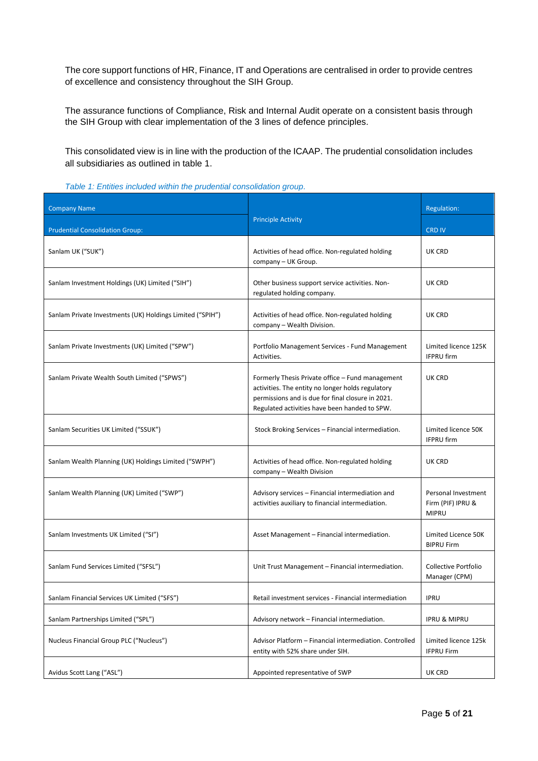The core support functions of HR, Finance, IT and Operations are centralised in order to provide centres of excellence and consistency throughout the SIH Group.

The assurance functions of Compliance, Risk and Internal Audit operate on a consistent basis through the SIH Group with clear implementation of the 3 lines of defence principles.

This consolidated view is in line with the production of the ICAAP. The prudential consolidation includes all subsidiaries as outlined in table 1.

|  |  |  | Table 1: Entities included within the prudential consolidation group. |  |
|--|--|--|-----------------------------------------------------------------------|--|
|  |  |  |                                                                       |  |

| <b>Company Name</b>                                       | <b>Principle Activity</b>                                                                                                                                                                                   | <b>Regulation:</b>                                       |  |
|-----------------------------------------------------------|-------------------------------------------------------------------------------------------------------------------------------------------------------------------------------------------------------------|----------------------------------------------------------|--|
| <b>Prudential Consolidation Group:</b>                    |                                                                                                                                                                                                             | <b>CRD IV</b>                                            |  |
| Sanlam UK ("SUK")                                         | Activities of head office. Non-regulated holding<br>company - UK Group.                                                                                                                                     | UK CRD                                                   |  |
| Sanlam Investment Holdings (UK) Limited ("SIH")           | Other business support service activities. Non-<br>regulated holding company.                                                                                                                               | UK CRD                                                   |  |
| Sanlam Private Investments (UK) Holdings Limited ("SPIH") | Activities of head office. Non-regulated holding<br>company - Wealth Division.                                                                                                                              | UK CRD                                                   |  |
| Sanlam Private Investments (UK) Limited ("SPW")           | Portfolio Management Services - Fund Management<br>Activities.                                                                                                                                              | Limited licence 125K<br><b>IFPRU firm</b>                |  |
| Sanlam Private Wealth South Limited ("SPWS")              | Formerly Thesis Private office - Fund management<br>activities. The entity no longer holds regulatory<br>permissions and is due for final closure in 2021.<br>Regulated activities have been handed to SPW. | UK CRD                                                   |  |
| Sanlam Securities UK Limited ("SSUK")                     | Stock Broking Services - Financial intermediation.                                                                                                                                                          | Limited licence 50K<br><b>IFPRU</b> firm                 |  |
| Sanlam Wealth Planning (UK) Holdings Limited ("SWPH")     | Activities of head office. Non-regulated holding<br>company - Wealth Division                                                                                                                               | UK CRD                                                   |  |
| Sanlam Wealth Planning (UK) Limited ("SWP")               | Advisory services - Financial intermediation and<br>activities auxiliary to financial intermediation.                                                                                                       | Personal Investment<br>Firm (PIF) IPRU &<br><b>MIPRU</b> |  |
| Sanlam Investments UK Limited ("SI")                      | Asset Management - Financial intermediation.                                                                                                                                                                | Limited Licence 50K<br><b>BIPRU Firm</b>                 |  |
| Sanlam Fund Services Limited ("SFSL")                     | Unit Trust Management - Financial intermediation.                                                                                                                                                           | Collective Portfolio<br>Manager (CPM)                    |  |
| Sanlam Financial Services UK Limited ("SFS")              | Retail investment services - Financial intermediation                                                                                                                                                       | <b>IPRU</b>                                              |  |
| Sanlam Partnerships Limited ("SPL")                       | Advisory network - Financial intermediation.                                                                                                                                                                | <b>IPRU &amp; MIPRU</b>                                  |  |
| Nucleus Financial Group PLC ("Nucleus")                   | Advisor Platform - Financial intermediation. Controlled<br>entity with 52% share under SIH.                                                                                                                 | Limited licence 125k<br><b>IFPRU Firm</b>                |  |
| Avidus Scott Lang ("ASL")                                 | Appointed representative of SWP                                                                                                                                                                             | UK CRD                                                   |  |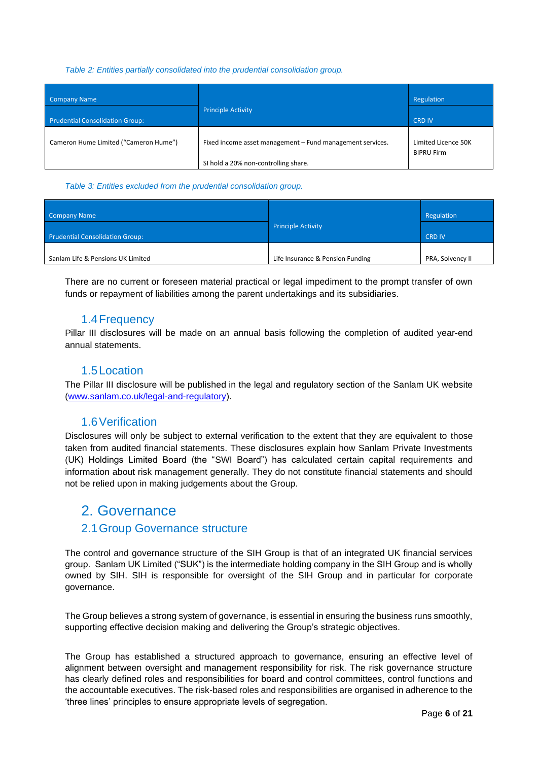#### *Table 2: Entities partially consolidated into the prudential consolidation group.*

| Company Name                           | <b>Principle Activity</b>                                 | Regulation                               |
|----------------------------------------|-----------------------------------------------------------|------------------------------------------|
| <b>Prudential Consolidation Group:</b> |                                                           | <b>CRD IV</b>                            |
| Cameron Hume Limited ("Cameron Hume")  | Fixed income asset management - Fund management services. | Limited Licence 50K<br><b>BIPRU Firm</b> |
|                                        | SI hold a 20% non-controlling share.                      |                                          |

#### *Table 3: Entities excluded from the prudential consolidation group.*

| <b>Company Name</b>                    |                                  | Regulation       |
|----------------------------------------|----------------------------------|------------------|
| <b>Prudential Consolidation Group:</b> | <b>Principle Activity</b>        | <b>CRD IV</b>    |
| Sanlam Life & Pensions UK Limited      | Life Insurance & Pension Funding | PRA, Solvency II |

There are no current or foreseen material practical or legal impediment to the prompt transfer of own funds or repayment of liabilities among the parent undertakings and its subsidiaries.

#### 1.4Frequency

<span id="page-5-0"></span>Pillar III disclosures will be made on an annual basis following the completion of audited year-end annual statements.

#### 1.5Location

<span id="page-5-1"></span>The Pillar III disclosure will be published in the legal and regulatory section of the Sanlam UK website [\(www.sanlam.co.uk/legal-and-regulatory\)](http://www.sanlam.co.uk/legal-and-regulatory).

#### 1.6Verification

<span id="page-5-2"></span>Disclosures will only be subject to external verification to the extent that they are equivalent to those taken from audited financial statements. These disclosures explain how Sanlam Private Investments (UK) Holdings Limited Board (the "SWI Board") has calculated certain capital requirements and information about risk management generally. They do not constitute financial statements and should not be relied upon in making judgements about the Group.

## <span id="page-5-3"></span>2. Governance

#### <span id="page-5-4"></span>2.1Group Governance structure

The control and governance structure of the SIH Group is that of an integrated UK financial services group. Sanlam UK Limited ("SUK") is the intermediate holding company in the SIH Group and is wholly owned by SIH. SIH is responsible for oversight of the SIH Group and in particular for corporate governance.

The Group believes a strong system of governance, is essential in ensuring the business runs smoothly, supporting effective decision making and delivering the Group's strategic objectives.

The Group has established a structured approach to governance, ensuring an effective level of alignment between oversight and management responsibility for risk. The risk governance structure has clearly defined roles and responsibilities for board and control committees, control functions and the accountable executives. The risk-based roles and responsibilities are organised in adherence to the 'three lines' principles to ensure appropriate levels of segregation.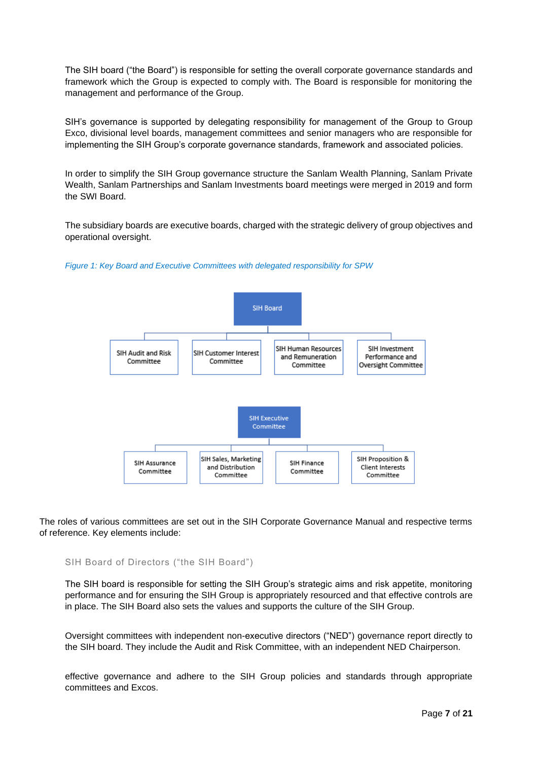The SIH board ("the Board") is responsible for setting the overall corporate governance standards and framework which the Group is expected to comply with. The Board is responsible for monitoring the management and performance of the Group.

SIH's governance is supported by delegating responsibility for management of the Group to Group Exco, divisional level boards, management committees and senior managers who are responsible for implementing the SIH Group's corporate governance standards, framework and associated policies.

In order to simplify the SIH Group governance structure the Sanlam Wealth Planning, Sanlam Private Wealth, Sanlam Partnerships and Sanlam Investments board meetings were merged in 2019 and form the SWI Board.

The subsidiary boards are executive boards, charged with the strategic delivery of group objectives and operational oversight.





The roles of various committees are set out in the SIH Corporate Governance Manual and respective terms of reference. Key elements include:

SIH Board of Directors ("the SIH Board")

The SIH board is responsible for setting the SIH Group's strategic aims and risk appetite, monitoring performance and for ensuring the SIH Group is appropriately resourced and that effective controls are in place. The SIH Board also sets the values and supports the culture of the SIH Group.

Oversight committees with independent non-executive directors ("NED") governance report directly to the SIH board. They include the Audit and Risk Committee, with an independent NED Chairperson.

effective governance and adhere to the SIH Group policies and standards through appropriate committees and Excos.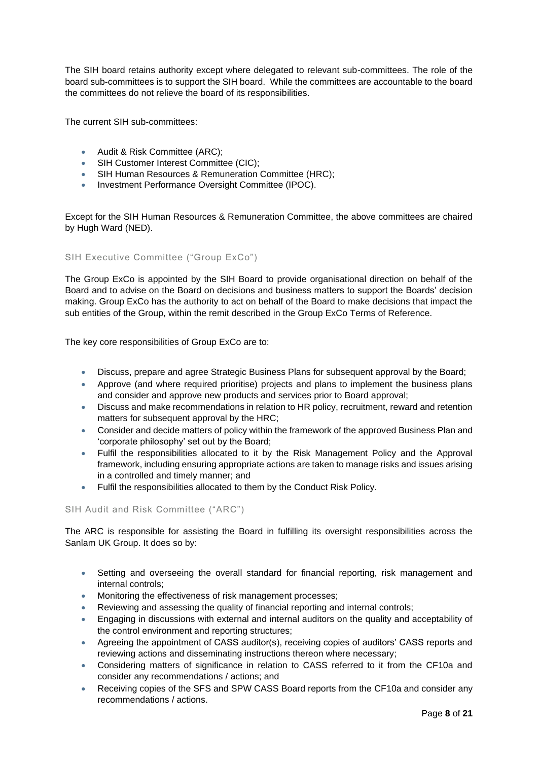The SIH board retains authority except where delegated to relevant sub-committees. The role of the board sub-committees is to support the SIH board. While the committees are accountable to the board the committees do not relieve the board of its responsibilities.

The current SIH sub-committees:

- Audit & Risk Committee (ARC);
- SIH Customer Interest Committee (CIC);
- SIH Human Resources & Remuneration Committee (HRC);
- Investment Performance Oversight Committee (IPOC).

Except for the SIH Human Resources & Remuneration Committee, the above committees are chaired by Hugh Ward (NED).

#### SIH Executive Committee ("Group ExCo")

The Group ExCo is appointed by the SIH Board to provide organisational direction on behalf of the Board and to advise on the Board on decisions and business matters to support the Boards' decision making. Group ExCo has the authority to act on behalf of the Board to make decisions that impact the sub entities of the Group, within the remit described in the Group ExCo Terms of Reference.

The key core responsibilities of Group ExCo are to:

- Discuss, prepare and agree Strategic Business Plans for subsequent approval by the Board;
- Approve (and where required prioritise) projects and plans to implement the business plans and consider and approve new products and services prior to Board approval;
- Discuss and make recommendations in relation to HR policy, recruitment, reward and retention matters for subsequent approval by the HRC;
- Consider and decide matters of policy within the framework of the approved Business Plan and 'corporate philosophy' set out by the Board;
- Fulfil the responsibilities allocated to it by the Risk Management Policy and the Approval framework, including ensuring appropriate actions are taken to manage risks and issues arising in a controlled and timely manner; and
- Fulfil the responsibilities allocated to them by the Conduct Risk Policy.

SIH Audit and Risk Committee ("ARC")

The ARC is responsible for assisting the Board in fulfilling its oversight responsibilities across the Sanlam UK Group. It does so by:

- Setting and overseeing the overall standard for financial reporting, risk management and internal controls;
- Monitoring the effectiveness of risk management processes;
- Reviewing and assessing the quality of financial reporting and internal controls;
- Engaging in discussions with external and internal auditors on the quality and acceptability of the control environment and reporting structures;
- Agreeing the appointment of CASS auditor(s), receiving copies of auditors' CASS reports and reviewing actions and disseminating instructions thereon where necessary;
- Considering matters of significance in relation to CASS referred to it from the CF10a and consider any recommendations / actions; and
- Receiving copies of the SFS and SPW CASS Board reports from the CF10a and consider any recommendations / actions.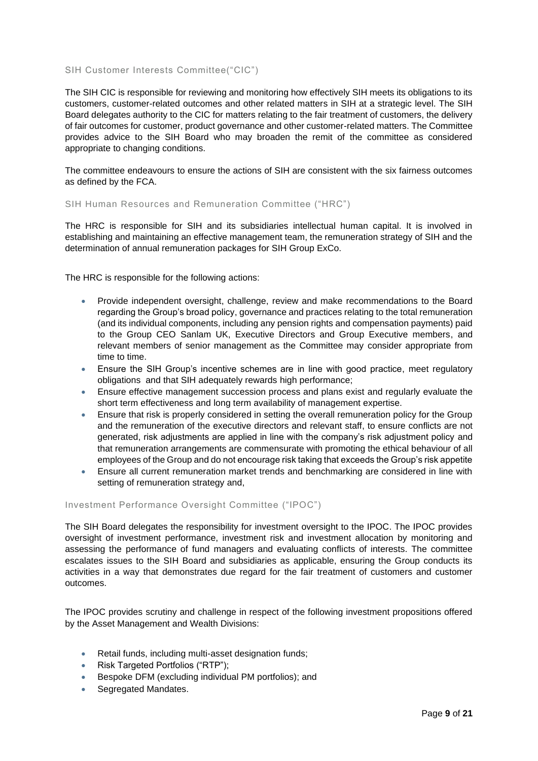#### SIH Customer Interests Committee("CIC")

The SIH CIC is responsible for reviewing and monitoring how effectively SIH meets its obligations to its customers, customer-related outcomes and other related matters in SIH at a strategic level. The SIH Board delegates authority to the CIC for matters relating to the fair treatment of customers, the delivery of fair outcomes for customer, product governance and other customer-related matters. The Committee provides advice to the SIH Board who may broaden the remit of the committee as considered appropriate to changing conditions.

The committee endeavours to ensure the actions of SIH are consistent with the six fairness outcomes as defined by the FCA.

#### SIH Human Resources and Remuneration Committee ("HRC")

The HRC is responsible for SIH and its subsidiaries intellectual human capital. It is involved in establishing and maintaining an effective management team, the remuneration strategy of SIH and the determination of annual remuneration packages for SIH Group ExCo.

The HRC is responsible for the following actions:

- Provide independent oversight, challenge, review and make recommendations to the Board regarding the Group's broad policy, governance and practices relating to the total remuneration (and its individual components, including any pension rights and compensation payments) paid to the Group CEO Sanlam UK, Executive Directors and Group Executive members, and relevant members of senior management as the Committee may consider appropriate from time to time.
- Ensure the SIH Group's incentive schemes are in line with good practice, meet regulatory obligations and that SIH adequately rewards high performance;
- Ensure effective management succession process and plans exist and regularly evaluate the short term effectiveness and long term availability of management expertise.
- Ensure that risk is properly considered in setting the overall remuneration policy for the Group and the remuneration of the executive directors and relevant staff, to ensure conflicts are not generated, risk adjustments are applied in line with the company's risk adjustment policy and that remuneration arrangements are commensurate with promoting the ethical behaviour of all employees of the Group and do not encourage risk taking that exceeds the Group's risk appetite
- Ensure all current remuneration market trends and benchmarking are considered in line with setting of remuneration strategy and,

#### Investment Performance Oversight Committee ("IPOC")

The SIH Board delegates the responsibility for investment oversight to the IPOC. The IPOC provides oversight of investment performance, investment risk and investment allocation by monitoring and assessing the performance of fund managers and evaluating conflicts of interests. The committee escalates issues to the SIH Board and subsidiaries as applicable, ensuring the Group conducts its activities in a way that demonstrates due regard for the fair treatment of customers and customer outcomes.

The IPOC provides scrutiny and challenge in respect of the following investment propositions offered by the Asset Management and Wealth Divisions:

- Retail funds, including multi-asset designation funds;
- Risk Targeted Portfolios ("RTP");
- Bespoke DFM (excluding individual PM portfolios); and
- Segregated Mandates.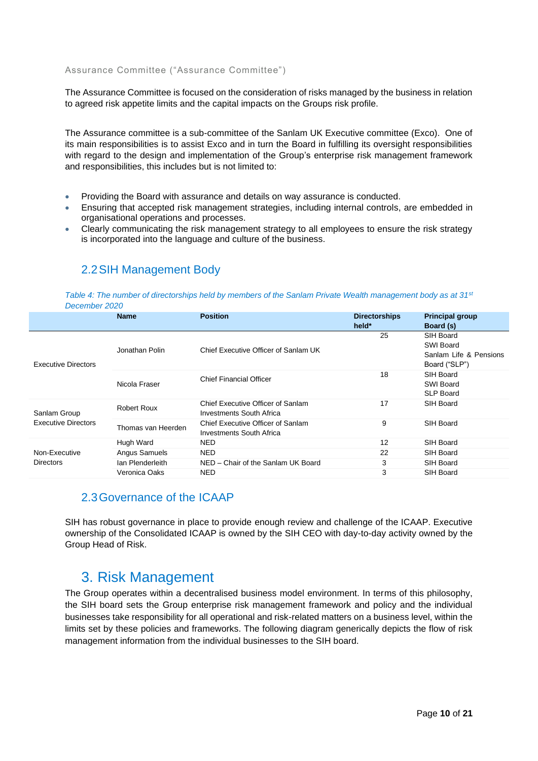#### Assurance Committee ("Assurance Committee")

The Assurance Committee is focused on the consideration of risks managed by the business in relation to agreed risk appetite limits and the capital impacts on the Groups risk profile.

The Assurance committee is a sub-committee of the Sanlam UK Executive committee (Exco). One of its main responsibilities is to assist Exco and in turn the Board in fulfilling its oversight responsibilities with regard to the design and implementation of the Group's enterprise risk management framework and responsibilities, this includes but is not limited to:

- Providing the Board with assurance and details on way assurance is conducted.
- Ensuring that accepted risk management strategies, including internal controls, are embedded in organisational operations and processes.
- Clearly communicating the risk management strategy to all employees to ensure the risk strategy is incorporated into the language and culture of the business.

<span id="page-9-0"></span>

| 2.2 SIH Management Body |
|-------------------------|
|                         |

*Table 4: The number of directorships held by members of the Sanlam Private Wealth management body as at 31st December 2020*

|                            | <b>Name</b>        | <b>Position</b>                                               | <b>Directorships</b><br>held* | <b>Principal group</b><br>Board (s)                                      |
|----------------------------|--------------------|---------------------------------------------------------------|-------------------------------|--------------------------------------------------------------------------|
| <b>Executive Directors</b> | Jonathan Polin     | Chief Executive Officer of Sanlam UK                          | 25                            | SIH Board<br><b>SWI Board</b><br>Sanlam Life & Pensions<br>Board ("SLP") |
|                            | Nicola Fraser      | <b>Chief Financial Officer</b>                                | 18                            | SIH Board<br>SWI Board<br><b>SLP Board</b>                               |
| Sanlam Group               | Robert Roux        | Chief Executive Officer of Sanlam<br>Investments South Africa | 17                            | SIH Board                                                                |
| <b>Executive Directors</b> | Thomas van Heerden | Chief Executive Officer of Sanlam<br>Investments South Africa | 9                             | SIH Board                                                                |
|                            | Hugh Ward          | NED                                                           | 12                            | SIH Board                                                                |
| Non-Executive              | Angus Samuels      | <b>NED</b>                                                    | 22                            | SIH Board                                                                |
| <b>Directors</b>           | lan Plenderleith   | NED - Chair of the Sanlam UK Board                            | 3                             | SIH Board                                                                |
|                            | Veronica Oaks      | <b>NED</b>                                                    | 3                             | SIH Board                                                                |

#### <span id="page-9-1"></span>2.3Governance of the ICAAP

SIH has robust governance in place to provide enough review and challenge of the ICAAP. Executive ownership of the Consolidated ICAAP is owned by the SIH CEO with day-to-day activity owned by the Group Head of Risk.

## <span id="page-9-2"></span>3. Risk Management

The Group operates within a decentralised business model environment. In terms of this philosophy, the SIH board sets the Group enterprise risk management framework and policy and the individual businesses take responsibility for all operational and risk-related matters on a business level, within the limits set by these policies and frameworks. The following diagram generically depicts the flow of risk management information from the individual businesses to the SIH board.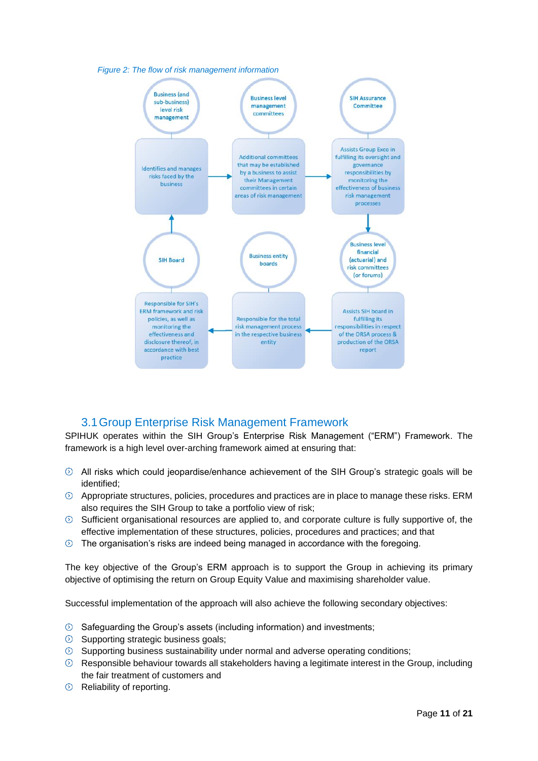



## 3.1Group Enterprise Risk Management Framework

<span id="page-10-0"></span>SPIHUK operates within the SIH Group's Enterprise Risk Management ("ERM") Framework. The framework is a high level over-arching framework aimed at ensuring that:

- $\odot$  All risks which could jeopardise/enhance achievement of the SIH Group's strategic goals will be identified;
- $\odot$  Appropriate structures, policies, procedures and practices are in place to manage these risks. ERM also requires the SIH Group to take a portfolio view of risk;
- $\circledcirc$  Sufficient organisational resources are applied to, and corporate culture is fully supportive of, the effective implementation of these structures, policies, procedures and practices; and that
- $\odot$  The organisation's risks are indeed being managed in accordance with the foregoing.

The key objective of the Group's ERM approach is to support the Group in achieving its primary objective of optimising the return on Group Equity Value and maximising shareholder value.

Successful implementation of the approach will also achieve the following secondary objectives:

- $\odot$  Safeguarding the Group's assets (including information) and investments;
- $\odot$  Supporting strategic business goals;
- $\circledcirc$  Supporting business sustainability under normal and adverse operating conditions;
- $\circledcirc$  Responsible behaviour towards all stakeholders having a legitimate interest in the Group, including the fair treatment of customers and
- $\odot$  Reliability of reporting.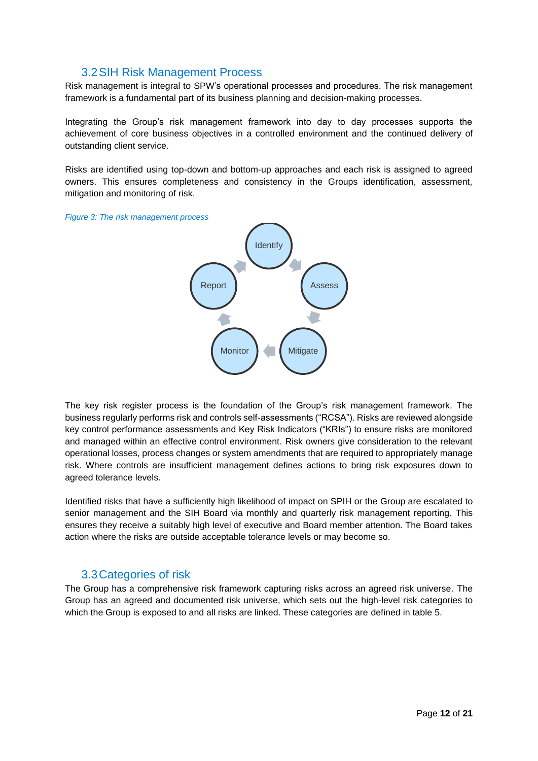### 3.2SIH Risk Management Process

<span id="page-11-0"></span>Risk management is integral to SPW's operational processes and procedures. The risk management framework is a fundamental part of its business planning and decision-making processes.

Integrating the Group's risk management framework into day to day processes supports the achievement of core business objectives in a controlled environment and the continued delivery of outstanding client service.

Risks are identified using top-down and bottom-up approaches and each risk is assigned to agreed owners. This ensures completeness and consistency in the Groups identification, assessment, mitigation and monitoring of risk.

*Figure 3: The risk management process*



The key risk register process is the foundation of the Group's risk management framework. The business regularly performs risk and controls self-assessments ("RCSA"). Risks are reviewed alongside key control performance assessments and Key Risk Indicators ("KRIs") to ensure risks are monitored and managed within an effective control environment. Risk owners give consideration to the relevant operational losses, process changes or system amendments that are required to appropriately manage risk. Where controls are insufficient management defines actions to bring risk exposures down to agreed tolerance levels.

Identified risks that have a sufficiently high likelihood of impact on SPIH or the Group are escalated to senior management and the SIH Board via monthly and quarterly risk management reporting. This ensures they receive a suitably high level of executive and Board member attention. The Board takes action where the risks are outside acceptable tolerance levels or may become so.

#### 3.3Categories of risk

<span id="page-11-1"></span>The Group has a comprehensive risk framework capturing risks across an agreed risk universe. The Group has an agreed and documented risk universe, which sets out the high-level risk categories to which the Group is exposed to and all risks are linked. These categories are defined in table 5.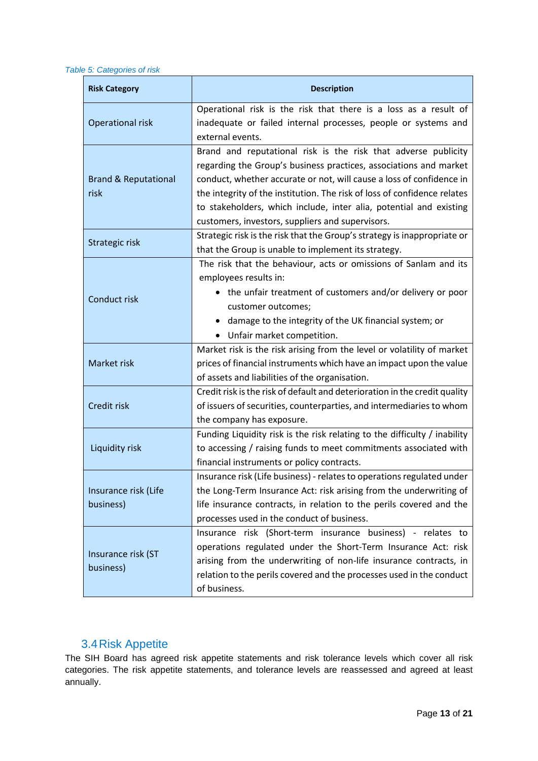*Table 5: Categories of risk*

| <b>Risk Category</b>                    | <b>Description</b>                                                                                                                                                                                                                                                                                                                                                                                                |
|-----------------------------------------|-------------------------------------------------------------------------------------------------------------------------------------------------------------------------------------------------------------------------------------------------------------------------------------------------------------------------------------------------------------------------------------------------------------------|
| Operational risk                        | Operational risk is the risk that there is a loss as a result of<br>inadequate or failed internal processes, people or systems and<br>external events.                                                                                                                                                                                                                                                            |
| <b>Brand &amp; Reputational</b><br>risk | Brand and reputational risk is the risk that adverse publicity<br>regarding the Group's business practices, associations and market<br>conduct, whether accurate or not, will cause a loss of confidence in<br>the integrity of the institution. The risk of loss of confidence relates<br>to stakeholders, which include, inter alia, potential and existing<br>customers, investors, suppliers and supervisors. |
| Strategic risk                          | Strategic risk is the risk that the Group's strategy is inappropriate or<br>that the Group is unable to implement its strategy.                                                                                                                                                                                                                                                                                   |
| Conduct risk                            | The risk that the behaviour, acts or omissions of Sanlam and its<br>employees results in:<br>• the unfair treatment of customers and/or delivery or poor<br>customer outcomes;<br>damage to the integrity of the UK financial system; or<br>Unfair market competition.                                                                                                                                            |
| Market risk                             | Market risk is the risk arising from the level or volatility of market<br>prices of financial instruments which have an impact upon the value<br>of assets and liabilities of the organisation.                                                                                                                                                                                                                   |
| Credit risk                             | Credit risk is the risk of default and deterioration in the credit quality<br>of issuers of securities, counterparties, and intermediaries to whom<br>the company has exposure.                                                                                                                                                                                                                                   |
| Liquidity risk                          | Funding Liquidity risk is the risk relating to the difficulty / inability<br>to accessing / raising funds to meet commitments associated with<br>financial instruments or policy contracts.                                                                                                                                                                                                                       |
| Insurance risk (Life<br>business)       | Insurance risk (Life business) - relates to operations regulated under<br>the Long-Term Insurance Act: risk arising from the underwriting of<br>life insurance contracts, in relation to the perils covered and the<br>processes used in the conduct of business.                                                                                                                                                 |
| Insurance risk (ST<br>business)         | Insurance risk (Short-term insurance business) - relates to<br>operations regulated under the Short-Term Insurance Act: risk<br>arising from the underwriting of non-life insurance contracts, in<br>relation to the perils covered and the processes used in the conduct<br>of business.                                                                                                                         |

### 3.4Risk Appetite

<span id="page-12-0"></span>The SIH Board has agreed risk appetite statements and risk tolerance levels which cover all risk categories. The risk appetite statements, and tolerance levels are reassessed and agreed at least annually.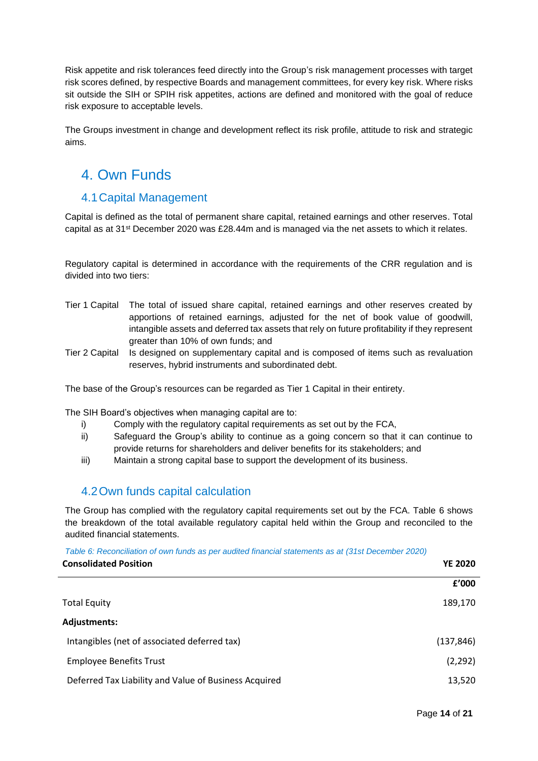Risk appetite and risk tolerances feed directly into the Group's risk management processes with target risk scores defined, by respective Boards and management committees, for every key risk. Where risks sit outside the SIH or SPIH risk appetites, actions are defined and monitored with the goal of reduce risk exposure to acceptable levels.

The Groups investment in change and development reflect its risk profile, attitude to risk and strategic aims.

## <span id="page-13-0"></span>4. Own Funds

### <span id="page-13-1"></span>4.1Capital Management

Capital is defined as the total of permanent share capital, retained earnings and other reserves. Total capital as at 31st December 2020 was £28.44m and is managed via the net assets to which it relates.

Regulatory capital is determined in accordance with the requirements of the CRR regulation and is divided into two tiers:

- Tier 1 Capital The total of issued share capital, retained earnings and other reserves created by apportions of retained earnings, adjusted for the net of book value of goodwill, intangible assets and deferred tax assets that rely on future profitability if they represent greater than 10% of own funds; and
- Tier 2 Capital Is designed on supplementary capital and is composed of items such as revaluation reserves, hybrid instruments and subordinated debt.

The base of the Group's resources can be regarded as Tier 1 Capital in their entirety.

The SIH Board's objectives when managing capital are to:

- i) Comply with the regulatory capital requirements as set out by the FCA,
- ii) Safeguard the Group's ability to continue as a going concern so that it can continue to provide returns for shareholders and deliver benefits for its stakeholders; and
- iii) Maintain a strong capital base to support the development of its business.

## <span id="page-13-2"></span>4.2Own funds capital calculation

The Group has complied with the regulatory capital requirements set out by the FCA. Table 6 shows the breakdown of the total available regulatory capital held within the Group and reconciled to the audited financial statements.

*Table 6: Reconciliation of own funds as per audited financial statements as at (31st December 2020)*

| <b>Consolidated Position</b>                          | <b>YE 2020</b> |  |
|-------------------------------------------------------|----------------|--|
|                                                       | £'000          |  |
| <b>Total Equity</b>                                   | 189,170        |  |
| Adjustments:                                          |                |  |
| Intangibles (net of associated deferred tax)          | (137, 846)     |  |
| <b>Employee Benefits Trust</b>                        | (2, 292)       |  |
| Deferred Tax Liability and Value of Business Acquired | 13,520         |  |
|                                                       |                |  |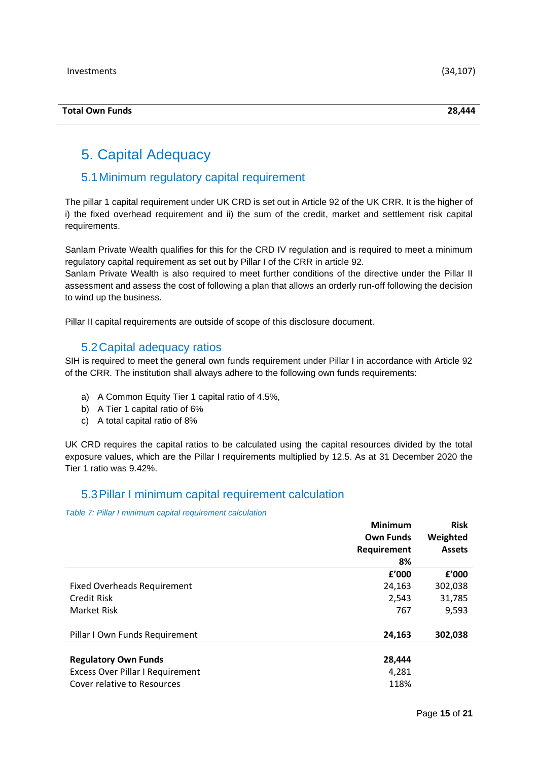## <span id="page-14-0"></span>5. Capital Adequacy

### <span id="page-14-1"></span>5.1Minimum regulatory capital requirement

The pillar 1 capital requirement under UK CRD is set out in Article 92 of the UK CRR. It is the higher of i) the fixed overhead requirement and ii) the sum of the credit, market and settlement risk capital requirements.

Sanlam Private Wealth qualifies for this for the CRD IV regulation and is required to meet a minimum regulatory capital requirement as set out by Pillar I of the CRR in article 92.

Sanlam Private Wealth is also required to meet further conditions of the directive under the Pillar II assessment and assess the cost of following a plan that allows an orderly run-off following the decision to wind up the business.

Pillar II capital requirements are outside of scope of this disclosure document.

#### 5.2Capital adequacy ratios

<span id="page-14-2"></span>SIH is required to meet the general own funds requirement under Pillar I in accordance with Article 92 of the CRR. The institution shall always adhere to the following own funds requirements:

- a) A Common Equity Tier 1 capital ratio of 4.5%,
- b) A Tier 1 capital ratio of 6%
- c) A total capital ratio of 8%

UK CRD requires the capital ratios to be calculated using the capital resources divided by the total exposure values, which are the Pillar I requirements multiplied by 12.5. As at 31 December 2020 the Tier 1 ratio was 9.42%.

#### <span id="page-14-3"></span>5.3Pillar I minimum capital requirement calculation

*Table 7: Pillar I minimum capital requirement calculation*

|                                         | <b>Minimum</b>   | <b>Risk</b>   |
|-----------------------------------------|------------------|---------------|
|                                         | <b>Own Funds</b> | Weighted      |
|                                         | Requirement      | <b>Assets</b> |
|                                         | 8%               |               |
|                                         | f'000            | f'000         |
| <b>Fixed Overheads Requirement</b>      | 24,163           | 302,038       |
| <b>Credit Risk</b>                      | 2,543            | 31,785        |
| Market Risk                             | 767              | 9,593         |
| Pillar I Own Funds Requirement          | 24,163           | 302,038       |
|                                         |                  |               |
| <b>Regulatory Own Funds</b>             | 28,444           |               |
| <b>Excess Over Pillar I Requirement</b> | 4,281            |               |
| Cover relative to Resources             | 118%             |               |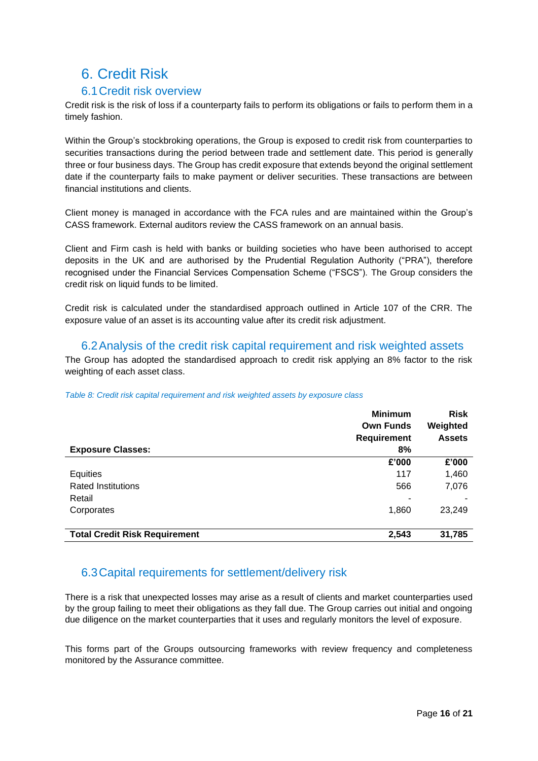## <span id="page-15-0"></span>6. Credit Risk

### 6.1Credit risk overview

<span id="page-15-1"></span>Credit risk is the risk of loss if a counterparty fails to perform its obligations or fails to perform them in a timely fashion.

Within the Group's stockbroking operations, the Group is exposed to credit risk from counterparties to securities transactions during the period between trade and settlement date. This period is generally three or four business days. The Group has credit exposure that extends beyond the original settlement date if the counterparty fails to make payment or deliver securities. These transactions are between financial institutions and clients.

Client money is managed in accordance with the FCA rules and are maintained within the Group's CASS framework. External auditors review the CASS framework on an annual basis.

Client and Firm cash is held with banks or building societies who have been authorised to accept deposits in the UK and are authorised by the Prudential Regulation Authority ("PRA"), therefore recognised under the Financial Services Compensation Scheme ("FSCS"). The Group considers the credit risk on liquid funds to be limited.

Credit risk is calculated under the standardised approach outlined in Article 107 of the CRR. The exposure value of an asset is its accounting value after its credit risk adjustment.

#### 6.2Analysis of the credit risk capital requirement and risk weighted assets

<span id="page-15-2"></span>The Group has adopted the standardised approach to credit risk applying an 8% factor to the risk weighting of each asset class.

#### *Table 8: Credit risk capital requirement and risk weighted assets by exposure class*

|                                      | <b>Minimum</b><br><b>Own Funds</b> | <b>Risk</b><br>Weighted |
|--------------------------------------|------------------------------------|-------------------------|
|                                      | Requirement                        | <b>Assets</b>           |
| <b>Exposure Classes:</b>             | 8%                                 |                         |
|                                      | £'000                              | £'000                   |
| Equities                             | 117                                | 1,460                   |
| <b>Rated Institutions</b>            | 566                                | 7,076                   |
| Retail                               |                                    |                         |
| Corporates                           | 1,860                              | 23,249                  |
| <b>Total Credit Risk Requirement</b> | 2,543                              | 31,785                  |

## <span id="page-15-3"></span>6.3Capital requirements for settlement/delivery risk

There is a risk that unexpected losses may arise as a result of clients and market counterparties used by the group failing to meet their obligations as they fall due. The Group carries out initial and ongoing due diligence on the market counterparties that it uses and regularly monitors the level of exposure.

This forms part of the Groups outsourcing frameworks with review frequency and completeness monitored by the Assurance committee.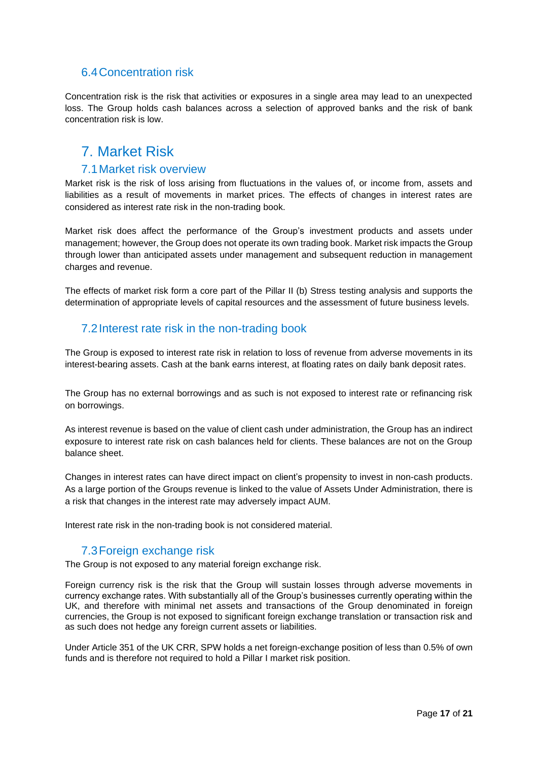## <span id="page-16-0"></span>6.4Concentration risk

Concentration risk is the risk that activities or exposures in a single area may lead to an unexpected loss. The Group holds cash balances across a selection of approved banks and the risk of bank concentration risk is low.

## <span id="page-16-1"></span>7. Market Risk

#### 7.1Market risk overview

<span id="page-16-2"></span>Market risk is the risk of loss arising from fluctuations in the values of, or income from, assets and liabilities as a result of movements in market prices. The effects of changes in interest rates are considered as interest rate risk in the non-trading book.

Market risk does affect the performance of the Group's investment products and assets under management; however, the Group does not operate its own trading book. Market risk impacts the Group through lower than anticipated assets under management and subsequent reduction in management charges and revenue.

The effects of market risk form a core part of the Pillar II (b) Stress testing analysis and supports the determination of appropriate levels of capital resources and the assessment of future business levels.

### <span id="page-16-3"></span>7.2Interest rate risk in the non-trading book

The Group is exposed to interest rate risk in relation to loss of revenue from adverse movements in its interest-bearing assets. Cash at the bank earns interest, at floating rates on daily bank deposit rates.

The Group has no external borrowings and as such is not exposed to interest rate or refinancing risk on borrowings.

As interest revenue is based on the value of client cash under administration, the Group has an indirect exposure to interest rate risk on cash balances held for clients. These balances are not on the Group balance sheet.

Changes in interest rates can have direct impact on client's propensity to invest in non-cash products. As a large portion of the Groups revenue is linked to the value of Assets Under Administration, there is a risk that changes in the interest rate may adversely impact AUM.

Interest rate risk in the non-trading book is not considered material.

## 7.3Foreign exchange risk

<span id="page-16-4"></span>The Group is not exposed to any material foreign exchange risk.

Foreign currency risk is the risk that the Group will sustain losses through adverse movements in currency exchange rates. With substantially all of the Group's businesses currently operating within the UK, and therefore with minimal net assets and transactions of the Group denominated in foreign currencies, the Group is not exposed to significant foreign exchange translation or transaction risk and as such does not hedge any foreign current assets or liabilities.

Under Article 351 of the UK CRR, SPW holds a net foreign-exchange position of less than 0.5% of own funds and is therefore not required to hold a Pillar I market risk position.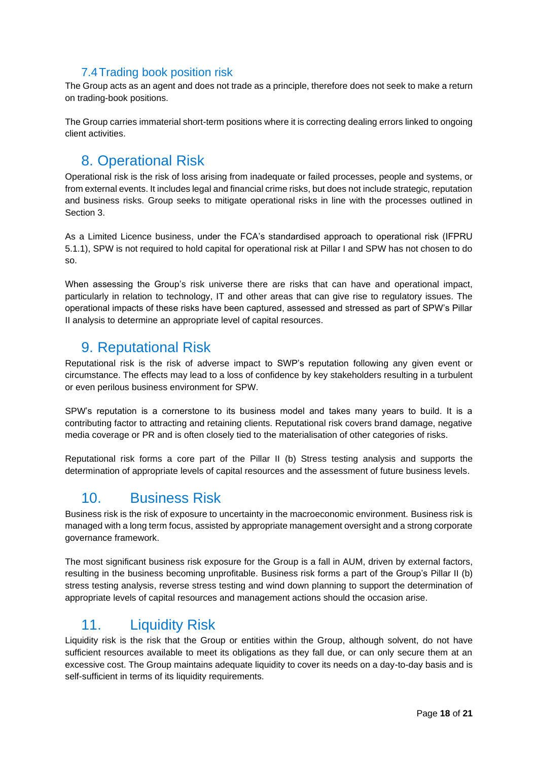## 7.4Trading book position risk

<span id="page-17-0"></span>The Group acts as an agent and does not trade as a principle, therefore does not seek to make a return on trading-book positions.

The Group carries immaterial short-term positions where it is correcting dealing errors linked to ongoing client activities.

# <span id="page-17-1"></span>8. Operational Risk

Operational risk is the risk of loss arising from inadequate or failed processes, people and systems, or from external events. It includes legal and financial crime risks, but does not include strategic, reputation and business risks. Group seeks to mitigate operational risks in line with the processes outlined in Section 3.

As a Limited Licence business, under the FCA's standardised approach to operational risk (IFPRU 5.1.1), SPW is not required to hold capital for operational risk at Pillar I and SPW has not chosen to do so.

When assessing the Group's risk universe there are risks that can have and operational impact, particularly in relation to technology, IT and other areas that can give rise to regulatory issues. The operational impacts of these risks have been captured, assessed and stressed as part of SPW's Pillar II analysis to determine an appropriate level of capital resources.

## <span id="page-17-2"></span>9. Reputational Risk

Reputational risk is the risk of adverse impact to SWP's reputation following any given event or circumstance. The effects may lead to a loss of confidence by key stakeholders resulting in a turbulent or even perilous business environment for SPW.

SPW's reputation is a cornerstone to its business model and takes many years to build. It is a contributing factor to attracting and retaining clients. Reputational risk covers brand damage, negative media coverage or PR and is often closely tied to the materialisation of other categories of risks.

Reputational risk forms a core part of the Pillar II (b) Stress testing analysis and supports the determination of appropriate levels of capital resources and the assessment of future business levels.

# 10. Business Risk

<span id="page-17-3"></span>Business risk is the risk of exposure to uncertainty in the macroeconomic environment. Business risk is managed with a long term focus, assisted by appropriate management oversight and a strong corporate governance framework.

The most significant business risk exposure for the Group is a fall in AUM, driven by external factors, resulting in the business becoming unprofitable. Business risk forms a part of the Group's Pillar II (b) stress testing analysis, reverse stress testing and wind down planning to support the determination of appropriate levels of capital resources and management actions should the occasion arise.

# <span id="page-17-4"></span>11. Liquidity Risk

Liquidity risk is the risk that the Group or entities within the Group, although solvent, do not have sufficient resources available to meet its obligations as they fall due, or can only secure them at an excessive cost. The Group maintains adequate liquidity to cover its needs on a day-to-day basis and is self-sufficient in terms of its liquidity requirements.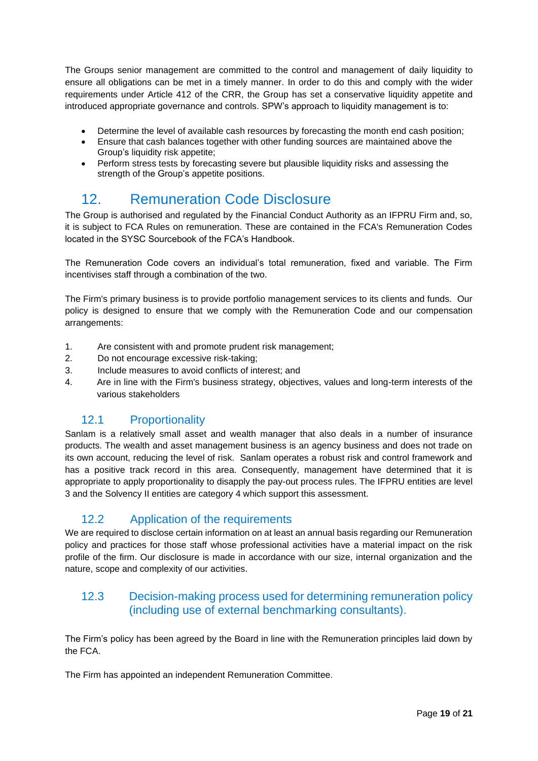The Groups senior management are committed to the control and management of daily liquidity to ensure all obligations can be met in a timely manner. In order to do this and comply with the wider requirements under Article 412 of the CRR, the Group has set a conservative liquidity appetite and introduced appropriate governance and controls. SPW's approach to liquidity management is to:

- Determine the level of available cash resources by forecasting the month end cash position;
- Ensure that cash balances together with other funding sources are maintained above the Group's liquidity risk appetite;
- Perform stress tests by forecasting severe but plausible liquidity risks and assessing the strength of the Group's appetite positions.

# <span id="page-18-0"></span>12. Remuneration Code Disclosure

The Group is authorised and regulated by the Financial Conduct Authority as an IFPRU Firm and, so, it is subject to FCA Rules on remuneration. These are contained in the FCA's Remuneration Codes located in the SYSC Sourcebook of the FCA's Handbook.

The Remuneration Code covers an individual's total remuneration, fixed and variable. The Firm incentivises staff through a combination of the two.

The Firm's primary business is to provide portfolio management services to its clients and funds. Our policy is designed to ensure that we comply with the Remuneration Code and our compensation arrangements:

- 1. Are consistent with and promote prudent risk management;
- 2. Do not encourage excessive risk-taking;
- 3. Include measures to avoid conflicts of interest; and
- 4. Are in line with the Firm's business strategy, objectives, values and long-term interests of the various stakeholders

## 12.1 Proportionality

<span id="page-18-1"></span>Sanlam is a relatively small asset and wealth manager that also deals in a number of insurance products. The wealth and asset management business is an agency business and does not trade on its own account, reducing the level of risk. Sanlam operates a robust risk and control framework and has a positive track record in this area. Consequently, management have determined that it is appropriate to apply proportionality to disapply the pay-out process rules. The IFPRU entities are level 3 and the Solvency II entities are category 4 which support this assessment.

## 12.2 Application of the requirements

<span id="page-18-2"></span>We are required to disclose certain information on at least an annual basis regarding our Remuneration policy and practices for those staff whose professional activities have a material impact on the risk profile of the firm. Our disclosure is made in accordance with our size, internal organization and the nature, scope and complexity of our activities.

## <span id="page-18-3"></span>12.3 Decision-making process used for determining remuneration policy (including use of external benchmarking consultants).

The Firm's policy has been agreed by the Board in line with the Remuneration principles laid down by the FCA.

The Firm has appointed an independent Remuneration Committee.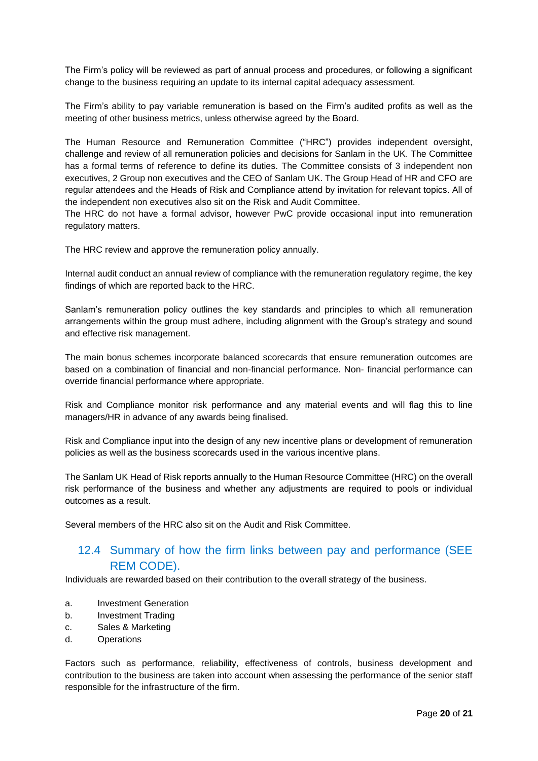The Firm's policy will be reviewed as part of annual process and procedures, or following a significant change to the business requiring an update to its internal capital adequacy assessment.

The Firm's ability to pay variable remuneration is based on the Firm's audited profits as well as the meeting of other business metrics, unless otherwise agreed by the Board.

The Human Resource and Remuneration Committee ("HRC") provides independent oversight, challenge and review of all remuneration policies and decisions for Sanlam in the UK. The Committee has a formal terms of reference to define its duties. The Committee consists of 3 independent non executives, 2 Group non executives and the CEO of Sanlam UK. The Group Head of HR and CFO are regular attendees and the Heads of Risk and Compliance attend by invitation for relevant topics. All of the independent non executives also sit on the Risk and Audit Committee.

The HRC do not have a formal advisor, however PwC provide occasional input into remuneration regulatory matters.

The HRC review and approve the remuneration policy annually.

Internal audit conduct an annual review of compliance with the remuneration regulatory regime, the key findings of which are reported back to the HRC.

Sanlam's remuneration policy outlines the key standards and principles to which all remuneration arrangements within the group must adhere, including alignment with the Group's strategy and sound and effective risk management.

The main bonus schemes incorporate balanced scorecards that ensure remuneration outcomes are based on a combination of financial and non-financial performance. Non- financial performance can override financial performance where appropriate.

Risk and Compliance monitor risk performance and any material events and will flag this to line managers/HR in advance of any awards being finalised.

Risk and Compliance input into the design of any new incentive plans or development of remuneration policies as well as the business scorecards used in the various incentive plans.

The Sanlam UK Head of Risk reports annually to the Human Resource Committee (HRC) on the overall risk performance of the business and whether any adjustments are required to pools or individual outcomes as a result.

Several members of the HRC also sit on the Audit and Risk Committee.

## <span id="page-19-0"></span>12.4 Summary of how the firm links between pay and performance (SEE REM CODE).

Individuals are rewarded based on their contribution to the overall strategy of the business.

- a. Investment Generation
- b. Investment Trading
- c. Sales & Marketing
- d. Operations

Factors such as performance, reliability, effectiveness of controls, business development and contribution to the business are taken into account when assessing the performance of the senior staff responsible for the infrastructure of the firm.